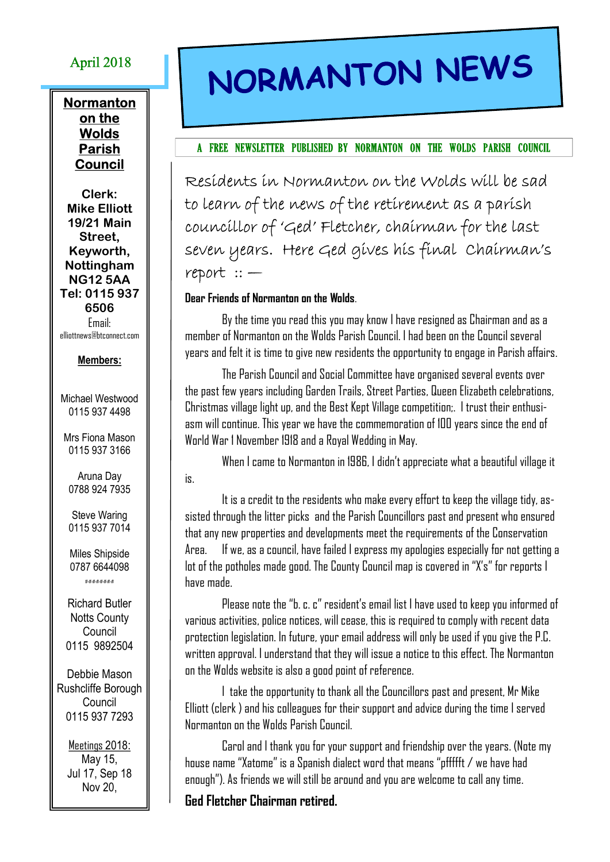# April 2018

## **Normanton** on the **Wolds** Parish Council

Clerk: Mike Elliott 19/21 Main Street, Keyworth, Nottingham NG12 5AA Tel: 0115 937 6506 Email: elliottnews@btconnect.com

#### Members:

Michael Westwood 0115 937 4498

Mrs Fiona Mason 0115 937 3166

Aruna Day 0788 924 7935

Steve Waring 0115 937 7014

Miles Shipside 0787 6644098

#-#-#-#-#-#-#-#

Richard Butler **Notts County Council** 0115 9892504

Debbie Mason Rushcliffe Borough Council 0115 937 7293

> Meetings 2018: May 15, Jul 17, Sep 18 Nov 20,

# NORMANTON NEWS

#### A FREE NEWSLETTER PUBLISHED BY NORMANTON ON THE WOLDS PARISH COUNCIL

Residents in Normanton on the Wolds will be sad to learn of the news of the retirement as a parish councillor of 'Ged' Fletcher, chairman for the last seven years. Here Ged gives his final Chairman's report :: —

### Dear Friends of Normanton on the Wolds.

By the time you read this you may know I have resigned as Chairman and as a member of Normanton on the Wolds Parish Council. I had been on the Council several years and felt it is time to give new residents the opportunity to engage in Parish affairs.

The Parish Council and Social Committee have organised several events over the past few years including Garden Trails, Street Parties, Queen Elizabeth celebrations, Christmas village light up, and the Best Kept Village competition;. I trust their enthusiasm will continue. This year we have the commemoration of 100 years since the end of World War 1 November 1918 and a Royal Wedding in May.

When I came to Normanton in 1986, I didn't appreciate what a beautiful village it is.

It is a credit to the residents who make every effort to keep the village tidy, assisted through the litter picks and the Parish Councillors past and present who ensured that any new properties and developments meet the requirements of the Conservation Area. If we, as a council, have failed I express my apologies especially for not getting a lot of the potholes made good. The County Council map is covered in "X's" for reports I have made.

Please note the "b. c. c" resident's email list I have used to keep you informed of various activities, police notices, will cease, this is required to comply with recent data protection legislation. In future, your email address will only be used if you give the P.C. written approval. I understand that they will issue a notice to this effect. The Normanton on the Wolds website is also a good point of reference.

I take the opportunity to thank all the Councillors past and present, Mr Mike Elliott (clerk ) and his colleagues for their support and advice during the time I served Normanton on the Wolds Parish Council.

Carol and I thank you for your support and friendship over the years. (Note my house name "Xatome" is a Spanish dialect word that means "pffffft / we have had enough"). As friends we will still be around and you are welcome to call any time.

## Ged Fletcher Chairman retired.